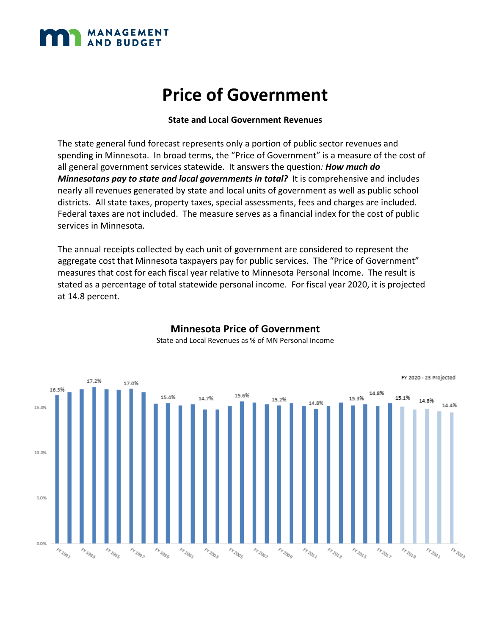

#### **State and Local Government Revenues**

The state general fund forecast represents only a portion of public sector revenues and spending in Minnesota. In broad terms, the "Price of Government" is a measure of the cost of all general government services statewide. It answers the question*: How much do Minnesotans pay to state and local governments in total?* It is comprehensive and includes nearly all revenues generated by state and local units of government as well as public school districts. All state taxes, property taxes, special assessments, fees and charges are included. Federal taxes are not included. The measure serves as a financial index for the cost of public services in Minnesota.

The annual receipts collected by each unit of government are considered to represent the aggregate cost that Minnesota taxpayers pay for public services. The "Price of Government" measures that cost for each fiscal year relative to Minnesota Personal Income. The result is stated as a percentage of total statewide personal income. For fiscal year 2020, it is projected at 14.8 percent.



#### **Minnesota Price of Government**  State and Local Revenues as % of MN Personal Income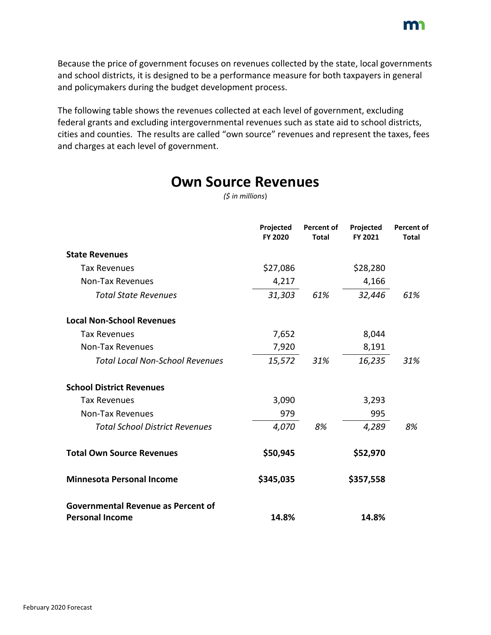

Because the price of government focuses on revenues collected by the state, local governments and school districts, it is designed to be a performance measure for both taxpayers in general and policymakers during the budget development process.

The following table shows the revenues collected at each level of government, excluding federal grants and excluding intergovernmental revenues such as state aid to school districts, cities and counties. The results are called "own source" revenues and represent the taxes, fees and charges at each level of government.

| (5 in millions)                                                     |                      |                                   |                      |                                   |  |  |  |  |  |  |  |
|---------------------------------------------------------------------|----------------------|-----------------------------------|----------------------|-----------------------------------|--|--|--|--|--|--|--|
|                                                                     | Projected<br>FY 2020 | <b>Percent of</b><br><b>Total</b> | Projected<br>FY 2021 | <b>Percent of</b><br><b>Total</b> |  |  |  |  |  |  |  |
| <b>State Revenues</b>                                               |                      |                                   |                      |                                   |  |  |  |  |  |  |  |
| <b>Tax Revenues</b>                                                 | \$27,086             |                                   | \$28,280             |                                   |  |  |  |  |  |  |  |
| <b>Non-Tax Revenues</b>                                             | 4,217                |                                   | 4,166                |                                   |  |  |  |  |  |  |  |
| <b>Total State Revenues</b>                                         | 31,303               | 61%                               | 32,446               | 61%                               |  |  |  |  |  |  |  |
| <b>Local Non-School Revenues</b>                                    |                      |                                   |                      |                                   |  |  |  |  |  |  |  |
| <b>Tax Revenues</b>                                                 | 7,652                |                                   | 8,044                |                                   |  |  |  |  |  |  |  |
| <b>Non-Tax Revenues</b>                                             | 7,920                |                                   | 8,191                |                                   |  |  |  |  |  |  |  |
| <b>Total Local Non-School Revenues</b>                              | 15,572               | 31%                               | 16,235               | 31%                               |  |  |  |  |  |  |  |
| <b>School District Revenues</b>                                     |                      |                                   |                      |                                   |  |  |  |  |  |  |  |
| <b>Tax Revenues</b>                                                 | 3,090                |                                   | 3,293                |                                   |  |  |  |  |  |  |  |
| <b>Non-Tax Revenues</b>                                             | 979                  |                                   | 995                  |                                   |  |  |  |  |  |  |  |
| <b>Total School District Revenues</b>                               | 4,070                | 8%                                | 4,289                | 8%                                |  |  |  |  |  |  |  |
| <b>Total Own Source Revenues</b>                                    | \$50,945             |                                   | \$52,970             |                                   |  |  |  |  |  |  |  |
| <b>Minnesota Personal Income</b>                                    | \$345,035            |                                   | \$357,558            |                                   |  |  |  |  |  |  |  |
| <b>Governmental Revenue as Percent of</b><br><b>Personal Income</b> | 14.8%                |                                   | 14.8%                |                                   |  |  |  |  |  |  |  |

**Own Source Revenues**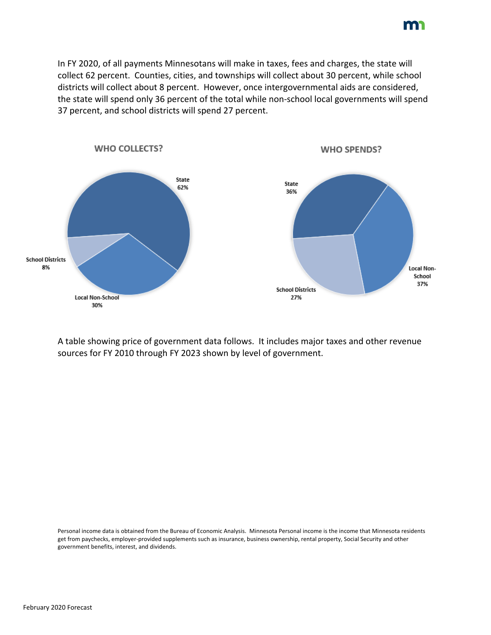In FY 2020, of all payments Minnesotans will make in taxes, fees and charges, the state will collect 62 percent. Counties, cities, and townships will collect about 30 percent, while school districts will collect about 8 percent. However, once intergovernmental aids are considered, the state will spend only 36 percent of the total while non-school local governments will spend 37 percent, and school districts will spend 27 percent.



A table showing price of government data follows. It includes major taxes and other revenue sources for FY 2010 through FY 2023 shown by level of government.

Personal income data is obtained from the Bureau of Economic Analysis. Minnesota Personal income is the income that Minnesota residents get from paychecks, employer-provided supplements such as insurance, business ownership, rental property, Social Security and other government benefits, interest, and dividends.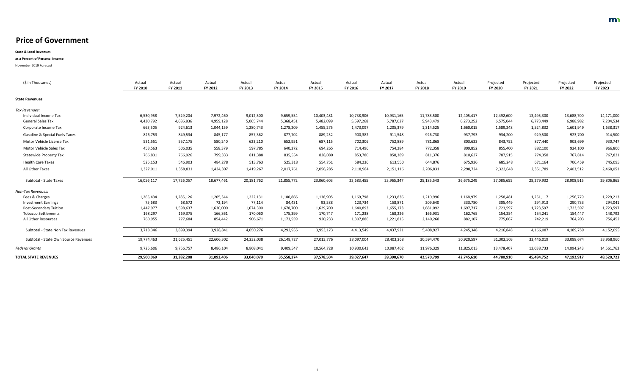| (\$ in Thousands)                         | Actual<br><b>FY 2010</b> | Actual<br>FY 2011 | Actual<br>FY 2012 | Actual<br>FY 2013 | Actual<br><b>FY 2014</b> | Actual<br>FY 2015 | Actual<br>FY 2016 | Actual<br>FY 2017 | Actual<br><b>FY 2018</b> | Actual<br><b>FY 2019</b> | Projected<br><b>FY 2020</b> | Projected<br><b>FY 2021</b> | Projected<br>FY 2022 | Projected<br><b>FY 2023</b> |
|-------------------------------------------|--------------------------|-------------------|-------------------|-------------------|--------------------------|-------------------|-------------------|-------------------|--------------------------|--------------------------|-----------------------------|-----------------------------|----------------------|-----------------------------|
| <b>State Revenues</b>                     |                          |                   |                   |                   |                          |                   |                   |                   |                          |                          |                             |                             |                      |                             |
| Tax Revenues:                             |                          |                   |                   |                   |                          |                   |                   |                   |                          |                          |                             |                             |                      |                             |
| Individual Income Tax                     | 6,530,958                | 7,529,204         | 7,972,460         | 9,012,500         | 9,659,554                | 10,403,481        | 10,738,906        | 10,931,165        | 11,783,500               | 12,405,417               | 12,492,600                  | 13,495,300                  | 13,688,700           | 14,171,000                  |
| <b>General Sales Tax</b>                  | 4,430,792                | 4,686,836         | 4,959,128         | 5,065,744         | 5,368,451                | 5,482,099         | 5,597,268         | 5,787,027         | 5,943,479                | 6,273,252                | 6,575,044                   | 6,773,449                   | 6,988,982            | 7,204,534                   |
| Corporate Income Tax                      | 663,505                  | 924,613           | 1,044,159         | 1,280,743         | 1,278,209                | 1,455,275         | 1,473,097         | 1,205,379         | 1,314,525                | 1,660,015                | 1,589,248                   | 1,524,832                   | 1,601,949            | 1,638,317                   |
| <b>Gasoline &amp; Special Fuels Taxes</b> | 826,753                  | 849,534           | 845,177           | 857,362           | 877,702                  | 889,252           | 900,382           | 911,548           | 926,730                  | 937,793                  | 934,200                     | 929,500                     | 923,700              | 914,500                     |
| Motor Vehicle License Tax                 | 531,551                  | 557,175           | 580,240           | 623,210           | 652,951                  | 687,115           | 702,306           | 752,889           | 781,868                  | 803,633                  | 843,752                     | 877,440                     | 903,699              | 930,747                     |
| <b>Motor Vehicle Sales Tax</b>            | 453,563                  | 506,035           | 558,379           | 597,785           | 640,272                  | 694,265           | 714,496           | 754,284           | 772,358                  | 809,852                  | 855,400                     | 882,100                     | 924,100              | 966,800                     |
| <b>Statewide Property Tax</b>             | 766,831                  | 766,926           | 799,333           | 811,388           | 835,554                  | 838,080           | 853,780           | 858,389           | 811,376                  | 810,627                  | 787,515                     | 774,358                     | 767,814              | 767,821                     |
| <b>Health Care Taxes</b>                  | 525,153                  | 546,903           | 484,278           | 513,763           | 525,318                  | 554,751           | 584,236           | 613,550           | 644,876                  | 675,936                  | 685,248                     | 671,164                     | 706,459              | 745,095                     |
| All Other Taxes                           | 1,327,011                | 1,358,831         | 1,434,307         | 1,419,267         | 2,017,761                | 2,056,285         | 2,118,984         | 2,151,116         | 2,206,831                | 2,298,724                | 2,322,648                   | 2,351,789                   | 2,403,512            | 2,468,051                   |
| <b>Subtotal - State Taxes</b>             | 16,056,117               | 17,726,057        | 18,677,461        | 20,181,762        | 21,855,772               | 23,060,603        | 23,683,455        | 23,965,347        | 25, 185, 543             | 26,675,249               | 27,085,655                  | 28,279,932                  | 28,908,915           | 29,806,865                  |
| Non-Tax Revenues:                         |                          |                   |                   |                   |                          |                   |                   |                   |                          |                          |                             |                             |                      |                             |
| Fees & Charges                            | 1,265,434                | 1,285,126         | 1,205,344         | 1,222,131         | 1,180,866                | 1,138,905         | 1,169,798         | 1,233,836         | 1,210,996                | 1,168,979                | 1,258,481                   | 1,251,117                   | 1,256,779            | 1,229,213                   |
| <b>Investment Earnings</b>                | 75,683                   | 68,572            | 72,194            | 77,114            | 84,431                   | 93,588            | 123,734           | 158,871           | 209,640                  | 333,780                  | 305,449                     | 294,913                     | 290,733              | 294,041                     |
| <b>Post-Secondary Tuition</b>             | 1,447,977                | 1,598,637         | 1,630,000         | 1,674,300         | 1,678,700                | 1,629,700         | 1,640,893         | 1,655,173         | 1,681,092                | 1,697,717                | 1,723,597                   | 1,723,597                   | 1,723,597            | 1,723,597                   |
| <b>Tobacco Settlements</b>                | 168,297                  | 169,375           | 166,861           | 170,060           | 175,399                  | 170,747           | 171,238           | 168,226           | 166,931                  | 162,765                  | 154,254                     | 154,241                     | 154,447              | 148,792                     |
| All Other Resources                       | 760,955                  | 777,684           | 854,442           | 906,671           | 1,173,559                | 920,233           | 1,307,886         | 1,221,815         | 2,140,268                | 882,107                  | 775,067                     | 742,219                     | 764,203              | 756,452                     |
| Subtotal - State Non Tax Revenues         | 3,718,346                | 3,899,394         | 3,928,841         | 4,050,276         | 4,292,955                | 3,953,173         | 4,413,549         | 4,437,921         | 5,408,927                | 4,245,348                | 4,216,848                   | 4,166,087                   | 4,189,759            | 4,152,095                   |
| Subtotal - State Own Source Revenues      | 19,774,463               | 21,625,451        | 22,606,302        | 24,232,038        | 26,148,727               | 27,013,776        | 28,097,004        | 28,403,268        | 30,594,470               | 30,920,597               | 31,302,503                  | 32,446,019                  | 33,098,674           | 33,958,960                  |
| <b>Federal Grants</b>                     | 9,725,606                | 9,756,757         | 8,486,104         | 8,808,041         | 9,409,547                | 10,564,728        | 10,930,643        | 10,987,402        | 11,976,329               | 11,825,013               | 13,478,407                  | 13,038,733                  | 14,094,243           | 14,561,763                  |
| <b>TOTAL STATE REVENUES</b>               | 29,500,069               | 31,382,208        | 31,092,406        | 33,040,079        | 35,558,274               | 37,578,504        | 39,027,647        | 39,390,670        | 42,570,799               | 42,745,610               | 44,780,910                  | 45,484,752                  | 47,192,917           | 48,520,723                  |
|                                           |                          |                   |                   |                   |                          |                   |                   |                   |                          |                          |                             |                             |                      |                             |

**State & Local Revenues**

### **as a Percent of Personal Income**

November 2019 Forecast

1

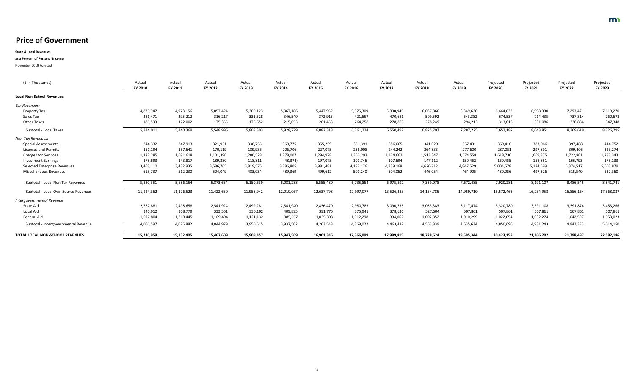**State & Local Revenues**

#### **as a Percent of Personal Income**

November 2019 Forecast

| (\$ in Thousands)                      | Actual<br>FY 2010 | Actual<br>FY 2011 | Actual<br>FY 2012 | Actual<br>FY 2013 | Actual<br><b>FY 2014</b> | Actual<br>FY 2015 | Actual<br>FY 2016 | Actual<br>FY 2017 | Actual<br><b>FY 2018</b> | Actual<br>FY 2019 | Projected<br><b>FY 2020</b> | Projected<br>FY 2021 | Projected<br>FY 2022 | Projected<br>FY 2023 |
|----------------------------------------|-------------------|-------------------|-------------------|-------------------|--------------------------|-------------------|-------------------|-------------------|--------------------------|-------------------|-----------------------------|----------------------|----------------------|----------------------|
| <b>Local Non-School Revenues</b>       |                   |                   |                   |                   |                          |                   |                   |                   |                          |                   |                             |                      |                      |                      |
| Tax Revenues:                          |                   |                   |                   |                   |                          |                   |                   |                   |                          |                   |                             |                      |                      |                      |
| <b>Property Tax</b>                    | 4,875,947         | 4,973,156         | 5,057,424         | 5,300,123         | 5,367,186                | 5,447,952         | 5,575,309         | 5,800,945         | 6,037,866                | 6,349,630         | 6,664,632                   | 6,998,330            | 7,293,471            | 7,618,270            |
| Sales Tax                              | 281,471           | 295,212           | 316,217           | 331,528           | 346,540                  | 372,913           | 421,657           | 470,681           | 509,592                  | 643,382           | 674,537                     | 714,435              | 737,314              | 760,678              |
| <b>Other Taxes</b>                     | 186,593           | 172,002           | 175,355           | 176,652           | 215,053                  | 261,453           | 264,258           | 278,865           | 278,249                  | 294,213           | 313,013                     | 331,086              | 338,834              | 347,348              |
| Subtotal - Local Taxes                 | 5,344,011         | 5,440,369         | 5,548,996         | 5,808,303         | 5,928,779                | 6,082,318         | 6,261,224         | 6,550,492         | 6,825,707                | 7,287,225         | 7,652,182                   | 8,043,851            | 8,369,619            | 8,726,295            |
| Non-Tax Revenues:                      |                   |                   |                   |                   |                          |                   |                   |                   |                          |                   |                             |                      |                      |                      |
| <b>Special Assessments</b>             | 344,332           | 347,913           | 321,931           | 338,755           | 368,775                  | 355,259           | 351,391           | 356,065           | 341,020                  | 357,431           | 369,410                     | 383,066              | 397,488              | 414,752              |
| <b>Licenses and Permits</b>            | 151,194           | 157,641           | 170,119           | 189,936           | 206,706                  | 227,075           | 236,008           | 244,242           | 264,833                  | 277,600           | 287,051                     | 297,891              | 309,406              | 323,274              |
| <b>Charges for Services</b>            | 1,122,285         | 1,091,618         | 1,101,390         | 1,200,528         | 1,278,007                | 1,294,978         | 1,353,293         | 1,424,662         | 1,513,347                | 1,574,558         | 1,618,730                   | 1,669,375            | 1,722,801            | 1,787,343            |
| <b>Investment Earnings</b>             | 178,693           | 143,817           | 189,380           | 118,811           | (48, 374)                | 197,075           | 101,746           | 107,694           | 147,112                  | 150,462           | 160,455                     | 158,851              | 166,793              | 175,133              |
| <b>Selected Enterprise Revenues</b>    | 3,468,110         | 3,432,935         | 3,586,765         | 3,819,575         | 3,786,805                | 3,981,481         | 4,192,176         | 4,339,168         | 4,626,712                | 4,847,529         | 5,004,578                   | 5,184,599            | 5,374,517            | 5,603,879            |
| <b>Miscellaneous Revenues</b>          | 615,737           | 512,230           | 504,049           | 483,034           | 489,369                  | 499,612           | 501,240           | 504,062           | 446,054                  | 464,905           | 480,056                     | 497,326              | 515,540              | 537,360              |
| Subtotal - Local Non Tax Revenues      | 5,880,351         | 5,686,154         | 5,873,634         | 6,150,639         | 6,081,288                | 6,555,480         | 6,735,854         | 6,975,892         | 7,339,078                | 7,672,485         | 7,920,281                   | 8,191,107            | 8,486,545            | 8,841,741            |
| Subtotal - Local Own Source Revenues   | 11,224,362        | 11,126,523        | 11,422,630        | 11,958,942        | 12,010,067               | 12,637,798        | 12,997,077        | 13,526,383        | 14,164,785               | 14,959,710        | 15,572,463                  | 16,234,958           | 16,856,164           | 17,568,037           |
| Intergovernmental Revenue:             |                   |                   |                   |                   |                          |                   |                   |                   |                          |                   |                             |                      |                      |                      |
| <b>State Aid</b>                       | 2,587,881         | 2,498,658         | 2,541,924         | 2,499,281         | 2,541,940                | 2,836,470         | 2,980,783         | 3,090,735         | 3,033,383                | 3,117,474         | 3,320,780                   | 3,391,108            | 3,391,874            | 3,453,266            |
| Local Aid                              | 340,912           | 308,779           | 333,561           | 330,102           | 409,895                  | 391,775           | 375,941           | 378,636           | 527,604                  | 507,861           | 507,861                     | 507,861              | 507,861              | 507,861              |
| Federal Aid                            | 1,077,804         | 1,218,445         | 1,169,494         | 1,121,132         | 985,667                  | 1,035,303         | 1,012,298         | 994,062           | 1,002,852                | 1,010,299         | 1,022,054                   | 1,032,274            | 1,042,597            | 1,053,023            |
| Subtotal - Intergovernmental Revenue   | 4,006,597         | 4,025,882         | 4,044,979         | 3,950,515         | 3,937,502                | 4,263,548         | 4,369,022         | 4,463,432         | 4,563,839                | 4,635,634         | 4,850,695                   | 4,931,243            | 4,942,333            | 5,014,150            |
| <b>TOTAL LOCAL NON-SCHOOL REVENUES</b> | 15,230,959        | 15,152,405        | 15,467,609        | 15,909,457        | 15,947,569               | 16,901,346        | 17,366,099        | 17,989,815        | 18,728,624               | 19,595,344        | 20,423,158                  | 21,166,202           | 21,798,497           | 22,582,186           |

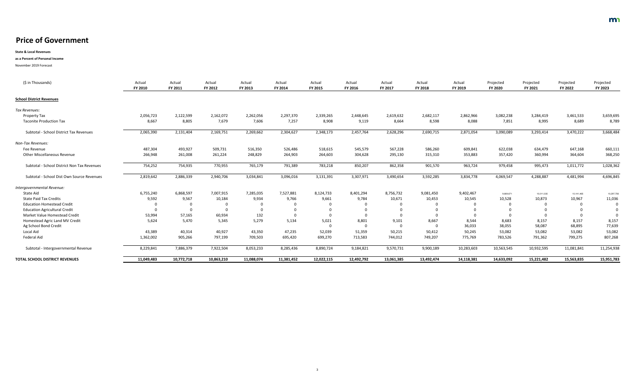**State & Local Revenues**

#### **as a Percent of Personal Income**

November 2019 Forecast

| (\$ in Thousands)                           | Actual<br><b>FY 2010</b> | Actual<br>FY 2011 | Actual<br>FY 2012 | Actual<br>FY 2013 | Actual<br><b>FY 2014</b> | Actual<br><b>FY 2015</b> | Actual<br><b>FY 2016</b> | Actual<br>FY 2017 | Actual<br><b>FY 2018</b> | Actual<br>FY 2019 | Projected<br><b>FY 2020</b> | Projected<br>FY 2021 | Projected<br>FY 2022 | Projected<br>FY 2023 |
|---------------------------------------------|--------------------------|-------------------|-------------------|-------------------|--------------------------|--------------------------|--------------------------|-------------------|--------------------------|-------------------|-----------------------------|----------------------|----------------------|----------------------|
| <b>School District Revenues</b>             |                          |                   |                   |                   |                          |                          |                          |                   |                          |                   |                             |                      |                      |                      |
| Tax Revenues:                               |                          |                   |                   |                   |                          |                          |                          |                   |                          |                   |                             |                      |                      |                      |
| <b>Property Tax</b>                         | 2,056,723                | 2,122,599         | 2,162,072         | 2,262,056         | 2,297,370                | 2,339,265                | 2,448,645                | 2,619,632         | 2,682,117                | 2,862,966         | 3,082,238                   | 3,284,419            | 3,461,533            | 3,659,695            |
| <b>Taconite Production Tax</b>              | 8,667                    | 8,805             | 7,679             | 7,606             | 7,257                    | 8,908                    | 9,119                    | 8,664             | 8,598                    | 8,088             | 7,851                       | 8,995                | 8,689                | 8,789                |
| Subtotal - School District Tax Revenues     | 2,065,390                | 2,131,404         | 2,169,751         | 2,269,662         | 2,304,627                | 2,348,173                | 2,457,764                | 2,628,296         | 2,690,715                | 2,871,054         | 3,090,089                   | 3,293,414            | 3,470,222            | 3,668,484            |
| Non-Tax Revenues:                           |                          |                   |                   |                   |                          |                          |                          |                   |                          |                   |                             |                      |                      |                      |
| Fee Revenue                                 | 487,304                  | 493,927           | 509,731           | 516,350           | 526,486                  | 518,615                  | 545,579                  | 567,228           | 586,260                  | 609,841           | 622,038                     | 634,479              | 647,168              | 660,111              |
| <b>Other Miscellaneous Revenue</b>          | 266,948                  | 261,008           | 261,224           | 248,829           | 264,903                  | 264,603                  | 304,628                  | 295,130           | 315,310                  | 353,883           | 357,420                     | 360,994              | 364,604              | 368,250              |
| Subtotal - School District Non Tax Revenues | 754,252                  | 754,935           | 770,955           | 765,179           | 791,389                  | 783,218                  | 850,207                  | 862,358           | 901,570                  | 963,724           | 979,458                     | 995,473              | 1,011,772            | 1,028,362            |
| Subtotal - School Dist Own Source Revenues  | 2,819,642                | 2,886,339         | 2,940,706         | 3,034,841         | 3,096,016                | 3,131,391                | 3,307,971                | 3,490,654         | 3,592,285                | 3,834,778         | 4,069,547                   | 4,288,887            | 4,481,994            | 4,696,845            |
| Intergovernmental Revenue:                  |                          |                   |                   |                   |                          |                          |                          |                   |                          |                   |                             |                      |                      |                      |
| State Aid                                   | 6,755,240                | 6,868,597         | 7,007,915         | 7,285,035         | 7,527,881                | 8,124,733                | 8,401,294                | 8,756,732         | 9,081,450                | 9,402,467         | 9,669,671                   | 10,011,035           | 10,141,465           | 10,297,756           |
| <b>State Paid Tax Credits</b>               | 9,592                    | 9,567             | 10,184            | 9,934             | 9,766                    | 9,661                    | 9,784                    | 10,671            | 10,453                   | 10,545            | 10,528                      | 10,873               | 10,967               | 11,036               |
| <b>Education Homestead Credit</b>           |                          |                   |                   | $\mathbf 0$       | $\overline{0}$           |                          |                          |                   |                          |                   |                             |                      |                      |                      |
| <b>Education Agricultural Credit</b>        |                          |                   |                   | $\overline{0}$    | $\overline{0}$           |                          |                          |                   |                          |                   |                             |                      |                      |                      |
| Market Value Homestead Credit               | 53,994                   | 57,165            | 60,934            | 132               |                          |                          |                          |                   |                          |                   |                             |                      |                      |                      |
| Homestead Agric Land MV Credit              | 5,624                    | 5,470             | 5,345             | 5,279             | 5,134                    | 5,021                    | 8,801                    | 9,101             | 8,667                    | 8,544             | 8,683                       | 8,157                | 8,157                | 8,157                |
| Ag School Bond Credit                       |                          |                   |                   |                   |                          |                          |                          |                   |                          | 36,033            | 38,055                      | 58,087               | 68,895               | 77,639               |
| Local Aid                                   | 43,389                   | 40,314            | 40,927            | 43,350            | 47,235                   | 52,039                   | 51,359                   | 50,215            | 50,412                   | 50,245            | 53,082                      | 53,082               | 53,082               | 53,082               |
| Federal Aid                                 | 1,362,002                | 905,266           | 797,199           | 709,503           | 695,420                  | 699,270                  | 713,583                  | 744,012           | 749,207                  | 775,769           | 783,526                     | 791,362              | 799,275              | 807,268              |
| Subtotal - Intergovernmental Revenue        | 8,229,841                | 7,886,379         | 7,922,504         | 8,053,233         | 8,285,436                | 8,890,724                | 9,184,821                | 9,570,731         | 9,900,189                | 10,283,603        | 10,563,545                  | 10,932,595           | 11,081,841           | 11,254,938           |
|                                             | 11,049,483               | 10,772,718        | 10,863,210        | 11,088,074        | 11,381,452               | 12,022,115               | 12,492,792               | 13,061,385        | 13,492,474               | 14,118,381        | 14,633,092                  | 15,221,482           | 15,563,835           | 15,951,783           |
| <b>TOTAL SCHOOL DISTRICT REVENUES</b>       |                          |                   |                   |                   |                          |                          |                          |                   |                          |                   |                             |                      |                      |                      |